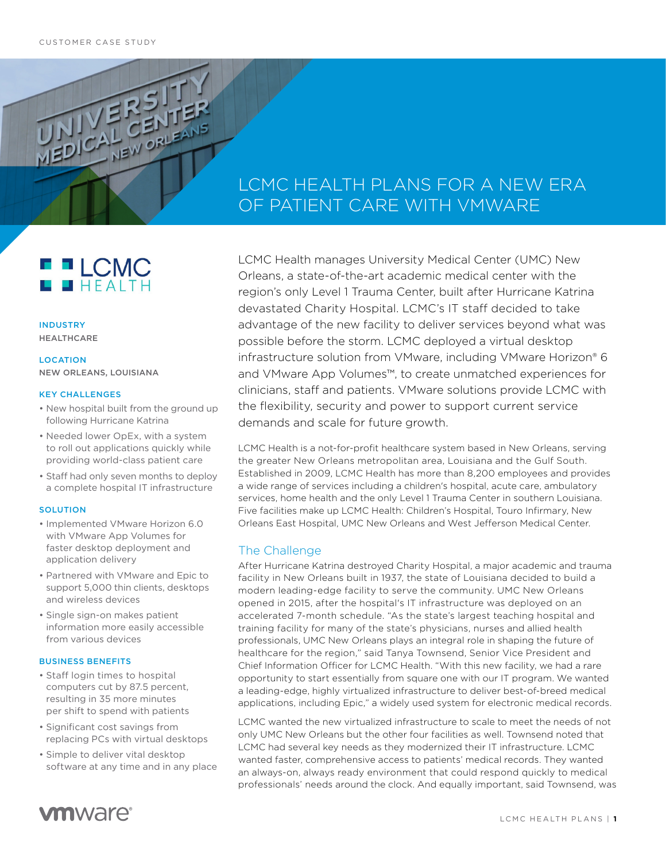UNICAL CENTRE

# LCMC HEALTH PLANS FOR A NEW ERA OF PATIENT CARE WITH VMWARE

**FFLCMC**  $HHT$ 

INDUSTRY HEALTHCARE

### **LOCATION** NEW ORLEANS, LOUISIANA

#### KEY CHALLENGES

- New hospital built from the ground up following Hurricane Katrina
- Needed lower OpEx, with a system to roll out applications quickly while providing world-class patient care
- Staff had only seven months to deploy a complete hospital IT infrastructure

#### **SOLUTION**

- Implemented VMware Horizon 6.0 with VMware App Volumes for faster desktop deployment and application delivery
- Partnered with VMware and Epic to support 5,000 thin clients, desktops and wireless devices
- Single sign-on makes patient information more easily accessible from various devices

#### BUSINESS BENEFITS

- Staff login times to hospital computers cut by 87.5 percent, resulting in 35 more minutes per shift to spend with patients
- Significant cost savings from replacing PCs with virtual desktops
- Simple to deliver vital desktop software at any time and in any place

LCMC Health manages University Medical Center (UMC) New Orleans, a state-of-the-art academic medical center with the region's only Level 1 Trauma Center, built after Hurricane Katrina devastated Charity Hospital. LCMC's IT staff decided to take advantage of the new facility to deliver services beyond what was possible before the storm. LCMC deployed a virtual desktop infrastructure solution from VMware, including VMware Horizon® 6 and VMware App Volumes™, to create unmatched experiences for clinicians, staff and patients. VMware solutions provide LCMC with the flexibility, security and power to support current service demands and scale for future growth.

LCMC Health is a not-for-profit healthcare system based in New Orleans, serving the greater New Orleans metropolitan area, Louisiana and the Gulf South. Established in 2009, LCMC Health has more than 8,200 employees and provides a wide range of services including a children's hospital, acute care, ambulatory services, home health and the only Level 1 Trauma Center in southern Louisiana. Five facilities make up LCMC Health: Children's Hospital, Touro Infirmary, New Orleans East Hospital, UMC New Orleans and West Jefferson Medical Center.

# The Challenge

After Hurricane Katrina destroyed Charity Hospital, a major academic and trauma facility in New Orleans built in 1937, the state of Louisiana decided to build a modern leading-edge facility to serve the community. UMC New Orleans opened in 2015, after the hospital's IT infrastructure was deployed on an accelerated 7-month schedule. "As the state's largest teaching hospital and training facility for many of the state's physicians, nurses and allied health professionals, UMC New Orleans plays an integral role in shaping the future of healthcare for the region," said Tanya Townsend, Senior Vice President and Chief Information Officer for LCMC Health. "With this new facility, we had a rare opportunity to start essentially from square one with our IT program. We wanted a leading-edge, highly virtualized infrastructure to deliver best-of-breed medical applications, including Epic," a widely used system for electronic medical records.

LCMC wanted the new virtualized infrastructure to scale to meet the needs of not only UMC New Orleans but the other four facilities as well. Townsend noted that LCMC had several key needs as they modernized their IT infrastructure. LCMC wanted faster, comprehensive access to patients' medical records. They wanted an always-on, always ready environment that could respond quickly to medical professionals' needs around the clock. And equally important, said Townsend, was

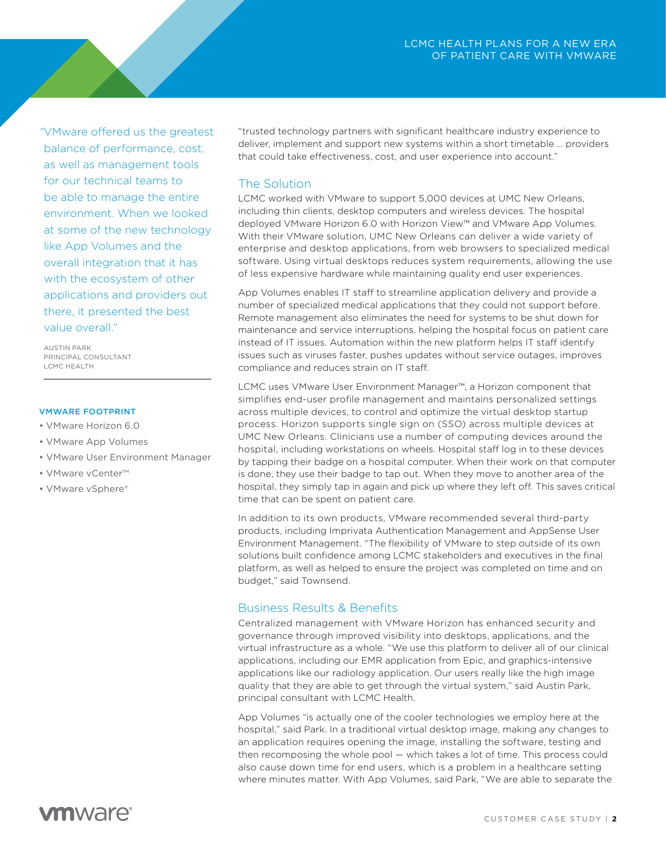*"*VMware offered us the greatest balance of performance, cost, as well as management tools for our technical teams to be able to manage the entire environment. When we looked at some of the new technology like App Volumes and the overall integration that it has with the ecosystem of other applications and providers out there, it presented the best value overall."

AUSTIN PARK PRINCIPAL CONSULTANT LCMC HEALTH

### VMWARE FOOTPRINT

- VMware Horizon 6.0
- VMware App Volumes
- VMware User Environment Manager
- VMware vCenter™
- VMware vSphere®

"trusted technology partners with significant healthcare industry experience to deliver, implement and support new systems within a short timetable … providers that could take effectiveness, cost, and user experience into account."

## The Solution

LCMC worked with VMware to support 5,000 devices at UMC New Orleans, including thin clients, desktop computers and wireless devices. The hospital deployed VMware Horizon 6.0 with Horizon View™ and VMware App Volumes. With their VMware solution, UMC New Orleans can deliver a wide variety of enterprise and desktop applications, from web browsers to specialized medical software. Using virtual desktops reduces system requirements, allowing the use of less expensive hardware while maintaining quality end user experiences.

App Volumes enables IT staff to streamline application delivery and provide a number of specialized medical applications that they could not support before. Remote management also eliminates the need for systems to be shut down for maintenance and service interruptions, helping the hospital focus on patient care instead of IT issues. Automation within the new platform helps IT staff identify issues such as viruses faster, pushes updates without service outages, improves compliance and reduces strain on IT staff.

LCMC uses VMware User Environment Manager™, a Horizon component that simplifies end-user profile management and maintains personalized settings across multiple devices, to control and optimize the virtual desktop startup process. Horizon supports single sign on (SSO) across multiple devices at UMC New Orleans. Clinicians use a number of computing devices around the hospital, including workstations on wheels. Hospital staff log in to these devices by tapping their badge on a hospital computer. When their work on that computer is done, they use their badge to tap out. When they move to another area of the hospital, they simply tap in again and pick up where they left off. This saves critical time that can be spent on patient care.

In addition to its own products, VMware recommended several third-party products, including Imprivata Authentication Management and AppSense User Environment Management. "The flexibility of VMware to step outside of its own solutions built confidence among LCMC stakeholders and executives in the final platform, as well as helped to ensure the project was completed on time and on budget," said Townsend.

# Business Results & Benefits

Centralized management with VMware Horizon has enhanced security and governance through improved visibility into desktops, applications, and the virtual infrastructure as a whole. "We use this platform to deliver all of our clinical applications, including our EMR application from Epic, and graphics-intensive applications like our radiology application. Our users really like the high image quality that they are able to get through the virtual system," said Austin Park, principal consultant with LCMC Health.

App Volumes "is actually one of the cooler technologies we employ here at the hospital," said Park. In a traditional virtual desktop image, making any changes to an application requires opening the image, installing the software, testing and then recomposing the whole pool — which takes a lot of time. This process could also cause down time for end users, which is a problem in a healthcare setting where minutes matter. With App Volumes, said Park, "We are able to separate the